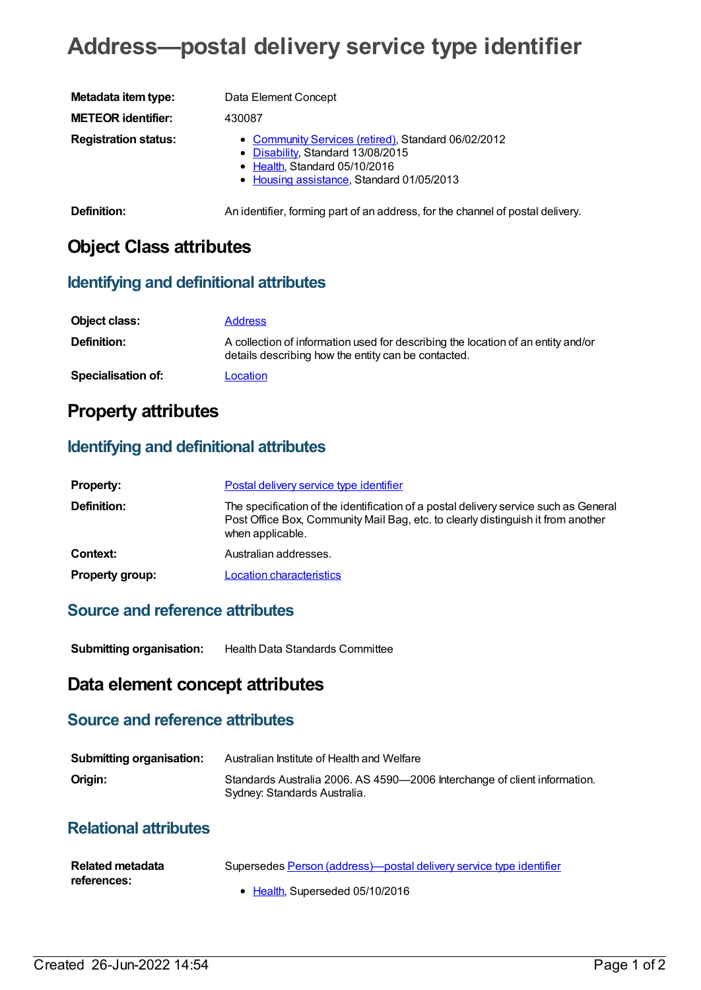# **Address—postal delivery service type identifier**

| Metadata item type:         | Data Element Concept                                                                                                                                                           |
|-----------------------------|--------------------------------------------------------------------------------------------------------------------------------------------------------------------------------|
| <b>METEOR identifier:</b>   | 430087                                                                                                                                                                         |
| <b>Registration status:</b> | • Community Services (retired), Standard 06/02/2012<br>• Disability, Standard 13/08/2015<br>$\bullet$ Health, Standard 05/10/2016<br>• Housing assistance, Standard 01/05/2013 |

**Definition:** An identifier, forming part of an address, for the channel of postal delivery.

## **Object Class attributes**

#### **Identifying and definitional attributes**

| Object class:             | <b>Address</b>                                                                                                                          |
|---------------------------|-----------------------------------------------------------------------------------------------------------------------------------------|
| <b>Definition:</b>        | A collection of information used for describing the location of an entity and/or<br>details describing how the entity can be contacted. |
| <b>Specialisation of:</b> | Location                                                                                                                                |

## **Property attributes**

#### **Identifying and definitional attributes**

| <b>Property:</b>       | Postal delivery service type identifier                                                                                                                                                      |
|------------------------|----------------------------------------------------------------------------------------------------------------------------------------------------------------------------------------------|
| <b>Definition:</b>     | The specification of the identification of a postal delivery service such as General<br>Post Office Box, Community Mail Bag, etc. to clearly distinguish it from another<br>when applicable. |
| Context:               | Australian addresses.                                                                                                                                                                        |
| <b>Property group:</b> | <b>Location characteristics</b>                                                                                                                                                              |

#### **Source and reference attributes**

**Submitting organisation:** Health Data Standards Committee

### **Data element concept attributes**

#### **Source and reference attributes**

| <b>Submitting organisation:</b> | Australian Institute of Health and Welfare                                                                |
|---------------------------------|-----------------------------------------------------------------------------------------------------------|
| Origin:                         | Standards Australia 2006. AS 4590-2006 Interchange of client information.<br>Sydney: Standards Australia. |

### **Relational attributes**

| Related metadata | Supersedes Person (address)—postal delivery service type identifier |
|------------------|---------------------------------------------------------------------|
| references:      |                                                                     |
|                  | • Health. Superseded 05/10/2016                                     |